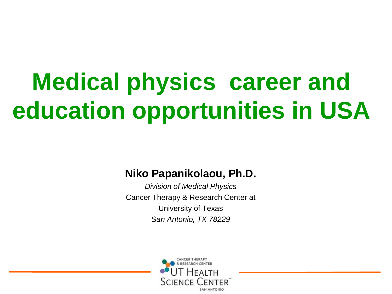# **Medical physics career and education opportunities in USA**

#### **Niko Papanikolaou, Ph.D.**

*Division of Medical Physics* Cancer Therapy & Research Center at University of Texas *San Antonio, TX 78229*

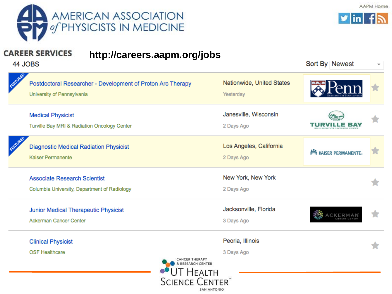



Sort By | Newest

AAPM Home

#### **CAREER SERVICES http://careers.aapm.org/jobs**

44 JOBS

|                                                        | Postdoctoral Researcher - Development of Proton Arc Therapy<br>University of Pennsylvania |                | Nationwide, United States<br>Yesterday |                              |  |
|--------------------------------------------------------|-------------------------------------------------------------------------------------------|----------------|----------------------------------------|------------------------------|--|
|                                                        | <b>Medical Physicist</b><br>Turville Bay MRI & Radiation Oncology Center                  |                | Janesville, Wisconsin<br>2 Days Ago    | TURVI<br>E 37                |  |
|                                                        | <b>Diagnostic Medical Radiation Physicist</b><br>Kaiser Permanente                        |                | Los Angeles, California<br>2 Days Ago  | <b>MA KAISER PERMANENTE.</b> |  |
|                                                        | <b>Associate Research Scientist</b><br>Columbia University, Department of Radiology       |                | New York, New York<br>2 Days Ago       |                              |  |
|                                                        | Junior Medical Therapeutic Physicist<br>Ackerman Cancer Center                            |                | Jacksonville, Florida<br>3 Days Ago    | ACKERMAN                     |  |
|                                                        | <b>Clinical Physicist</b><br><b>OSF Healthcare</b>                                        | CANCER THERAPY | Peoria, Illinois<br>3 Days Ago         |                              |  |
| & RESEARCH CENTER<br>Г Неаlтн<br><b>SCIENCE CENTER</b> |                                                                                           |                |                                        |                              |  |

SAN ANTONIO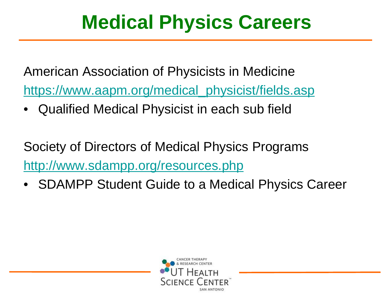## **Medical Physics Careers**

American Association of Physicists in Medicine [https://www.aapm.org/medical\\_physicist/fields.asp](https://www.aapm.org/medical_physicist/fields.asp)

• Qualified Medical Physicist in each sub field

Society of Directors of Medical Physics Programs <http://www.sdampp.org/resources.php>

• SDAMPP Student Guide to a Medical Physics Career

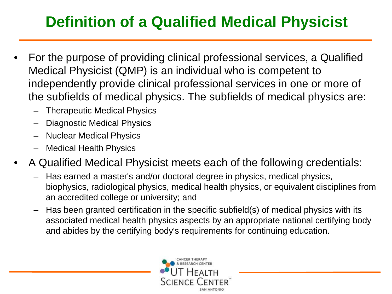### **Definition of a Qualified Medical Physicist**

- For the purpose of providing clinical professional services, a Qualified Medical Physicist (QMP) is an individual who is competent to independently provide clinical professional services in one or more of the subfields of medical physics. The subfields of medical physics are:
	- Therapeutic Medical Physics
	- Diagnostic Medical Physics
	- Nuclear Medical Physics
	- Medical Health Physics
- A Qualified Medical Physicist meets each of the following credentials:
	- Has earned a master's and/or doctoral degree in physics, medical physics, biophysics, radiological physics, medical health physics, or equivalent disciplines from an accredited college or university; and
	- Has been granted certification in the specific subfield(s) of medical physics with its associated medical health physics aspects by an appropriate national certifying body and abides by the certifying body's requirements for continuing education.

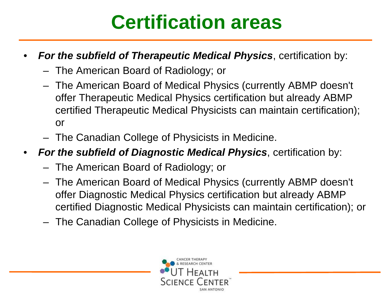## **Certification areas**

#### • *For the subfield of Therapeutic Medical Physics*, certification by:

- The American Board of Radiology; or
- The American Board of Medical Physics (currently ABMP doesn't offer Therapeutic Medical Physics certification but already ABMP certified Therapeutic Medical Physicists can maintain certification); or
- The Canadian College of Physicists in Medicine.
- *For the subfield of Diagnostic Medical Physics*, certification by:
	- The American Board of Radiology; or
	- The American Board of Medical Physics (currently ABMP doesn't offer Diagnostic Medical Physics certification but already ABMP certified Diagnostic Medical Physicists can maintain certification); or
	- The Canadian College of Physicists in Medicine.

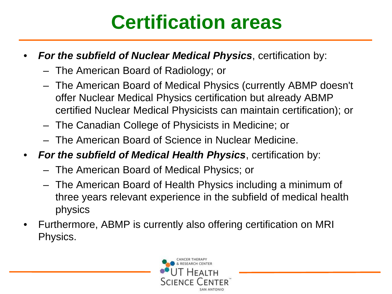## **Certification areas**

#### • *For the subfield of Nuclear Medical Physics*, certification by:

- The American Board of Radiology; or
- The American Board of Medical Physics (currently ABMP doesn't offer Nuclear Medical Physics certification but already ABMP certified Nuclear Medical Physicists can maintain certification); or
- The Canadian College of Physicists in Medicine; or
- The American Board of Science in Nuclear Medicine.
- *For the subfield of Medical Health Physics*, certification by:
	- The American Board of Medical Physics; or
	- The American Board of Health Physics including a minimum of three years relevant experience in the subfield of medical health physics
- Furthermore, ABMP is currently also offering certification on MRI Physics.

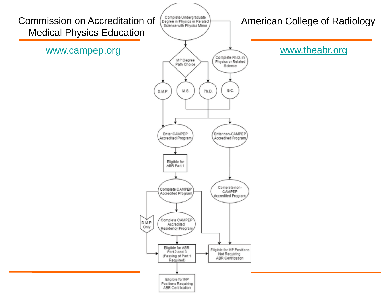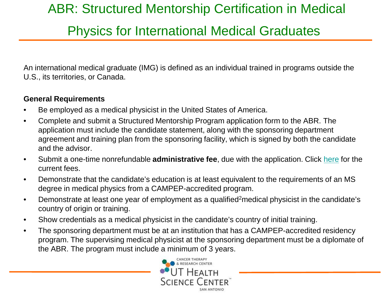### ABR: Structured Mentorship Certification in Medical

### Physics for International Medical Graduates

An international medical graduate (IMG) is defined as an individual trained in programs outside the U.S., its territories, or Canada.

#### **General Requirements**

- Be employed as a medical physicist in the United States of America.
- Complete and submit a Structured Mentorship Program application form to the ABR. The application must include the candidate statement, along with the sponsoring department agreement and training plan from the sponsoring facility, which is signed by both the candidate and the advisor.
- Submit a one-time nonrefundable **administrative fee**, due with the application. Click [here](http://www.theabr.org/ic-img-mp-fees) for the current fees.
- Demonstrate that the candidate's education is at least equivalent to the requirements of an MS degree in medical physics from a CAMPEP-accredited program.
- Demonstrate at least one year of employment as a qualified<sup>2</sup>medical physicist in the candidate's country of origin or training.
- Show credentials as a medical physicist in the candidate's country of initial training.
- The sponsoring department must be at an institution that has a CAMPEP-accredited residency program. The supervising medical physicist at the sponsoring department must be a diplomate of the ABR. The program must include a minimum of 3 years.

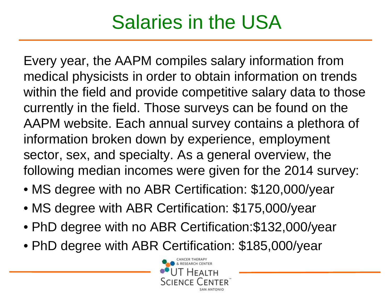## Salaries in the USA

Every year, the AAPM compiles salary information from medical physicists in order to obtain information on trends within the field and provide competitive salary data to those currently in the field. Those surveys can be found on the AAPM website. Each annual survey contains a plethora of information broken down by experience, employment sector, sex, and specialty. As a general overview, the following median incomes were given for the 2014 survey:

- MS degree with no ABR Certification: \$120,000/year
- MS degree with ABR Certification: \$175,000/year
- PhD degree with no ABR Certification:\$132,000/year
- PhD degree with ABR Certification: \$185,000/year